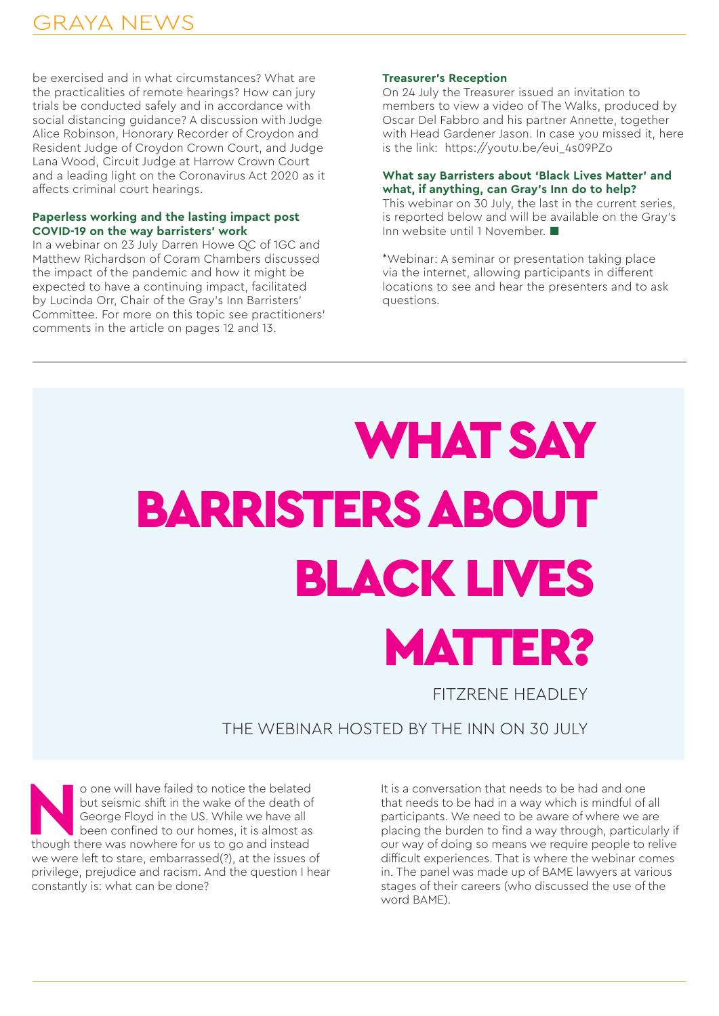## WHAT SAY BARRISTERS ABOUT BLACK LIVES MATTER?

FITZRENE HEADLEY

## THE WEBINAR HOSTED BY THE INN ON 30 JULY

o one will have failed to notice the belated<br>but seismic shift in the wake of the death of<br>George Floyd in the US. While we have all<br>been confined to our homes, it is almost as<br>though there was nowhere for us to go and ins but seismic shift in the wake of the death of George Floyd in the US. While we have all been confined to our homes, it is almost as though there was nowhere for us to go and instead we were left to stare, embarrassed(?), at the issues of privilege, prejudice and racism. And the question I hear constantly is: what can be done?

It is a conversation that needs to be had and one that needs to be had in a way which is mindful of all participants. We need to be aware of where we are placing the burden to find a way through, particularly if our way of doing so means we require people to relive difficult experiences. That is where the webinar comes in. The panel was made up of BAME lawyers at various stages of their careers (who discussed the use of the word BAME).